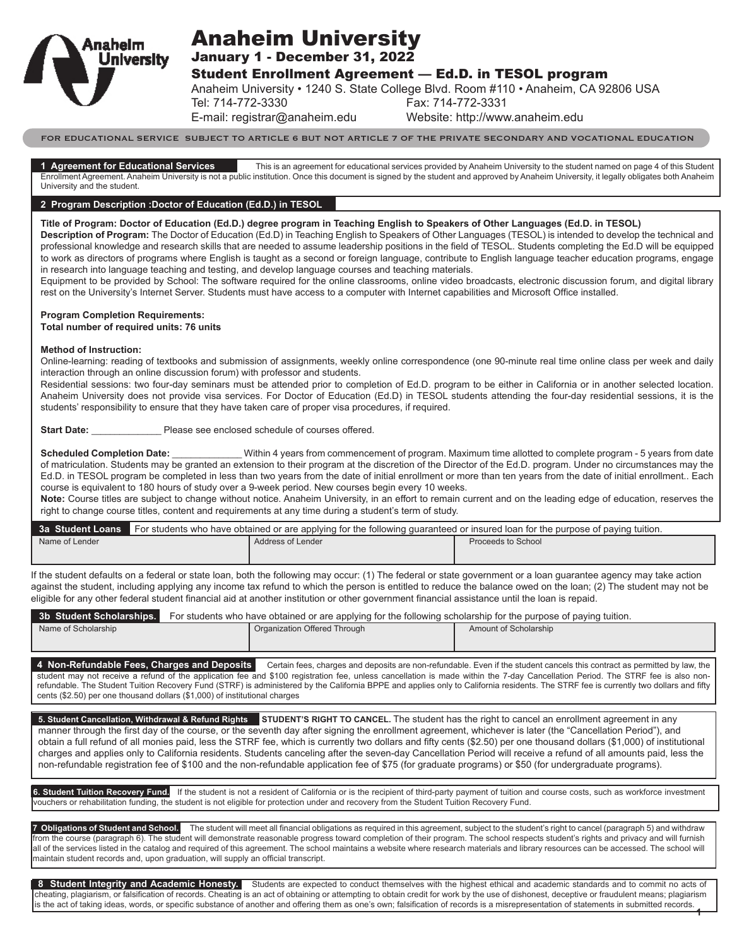

# Anaheim University

January 1 - December 31, 2022

Student Enrollment Agreement — Ed.D. in TESOL program

Anaheim University • 1240 S. State College Blvd. Room #110 • Anaheim, CA 92806 USA

Tel: 714-772-3330 Fax: 714-772-3331

E-mail: registrar@anaheim.edu Website: http://www.anaheim.edu

FOR EDUCATIONAL SERVICE SUBJECT TO ARTICLE 6 BUT NOT ARTICLE 7 OF THE PRIVATE SECONDARY AND VOCATIONAL EDUCATION

**1 Agreement for Educational Services** This is an agreement for educational services provided by Anaheim University to the student named on page 4 of this Student Enrollment Agreement. Anaheim University is not a public institution. Once this document is signed by the student and approved by Anaheim University, it legally obligates both Anaheim University and the student.

#### **2 Program Description :Doctor of Education (Ed.D.) in TESOL**

**Title of Program: Doctor of Education (Ed.D.) degree program in Teaching English to Speakers of Other Languages (Ed.D. in TESOL)**

**Description of Program:** The Doctor of Education (Ed.D) in Teaching English to Speakers of Other Languages (TESOL) is intended to develop the technical and professional knowledge and research skills that are needed to assume leadership positions in the field of TESOL. Students completing the Ed.D will be equipped to work as directors of programs where English is taught as a second or foreign language, contribute to English language teacher education programs, engage in research into language teaching and testing, and develop language courses and teaching materials.

Equipment to be provided by School: The software required for the online classrooms, online video broadcasts, electronic discussion forum, and digital library rest on the University's Internet Server. Students must have access to a computer with Internet capabilities and Microsoft Office installed.

#### **Program Completion Requirements:**

**Total number of required units: 76 units**

#### **Method of Instruction:**

Online-learning: reading of textbooks and submission of assignments, weekly online correspondence (one 90-minute real time online class per week and daily interaction through an online discussion forum) with professor and students.

Residential sessions: two four-day seminars must be attended prior to completion of Ed.D. program to be either in California or in another selected location. Anaheim University does not provide visa services. For Doctor of Education (Ed.D) in TESOL students attending the four-day residential sessions, it is the students' responsibility to ensure that they have taken care of proper visa procedures, if required.

**Start Date: Example 20 Please see enclosed schedule of courses offered.** 

**Scheduled Completion Date:** \_\_\_\_\_\_\_\_\_\_\_\_\_\_\_ Within 4 years from commencement of program. Maximum time allotted to complete program - 5 years from date of matriculation. Students may be granted an extension to their program at the discretion of the Director of the Ed.D. program. Under no circumstances may the Ed.D. in TESOL program be completed in less than two years from the date of initial enrollment or more than ten years from the date of initial enrollment.. Each course is equivalent to 180 hours of study over a 9-week period. New courses begin every 10 weeks.

**Note:** Course titles are subject to change without notice. Anaheim University, in an effort to remain current and on the leading edge of education, reserves the right to change course titles, content and requirements at any time during a student's term of study.

|                | 3a Student Loans For students who have obtained or are applying for the following quaranteed or insured loan for the purpose of paying tuition. |                    |  |  |
|----------------|-------------------------------------------------------------------------------------------------------------------------------------------------|--------------------|--|--|
| Name of Lender | Address of Lender                                                                                                                               | Proceeds to School |  |  |
|                |                                                                                                                                                 |                    |  |  |

If the student defaults on a federal or state loan, both the following may occur: (1) The federal or state government or a loan guarantee agency may take action against the student, including applying any income tax refund to which the person is entitled to reduce the balance owed on the loan; (2) The student may not be eligible for any other federal student financial aid at another institution or other government financial assistance until the loan is repaid.

| 3b Student Scholarships. | For students who have obtained or are applying for the following scholarship for the purpose of paying tuition. |                       |  |  |
|--------------------------|-----------------------------------------------------------------------------------------------------------------|-----------------------|--|--|
| Name of Scholarship      | Organization Offered Through                                                                                    | Amount of Scholarship |  |  |

4 Non-Refundable Fees, Charges and Deposits **Certain fees, charges and deposits are non-refundable**. Even if the student cancels this contract as permitted by law, the student may not receive a refund of the application fee and \$100 registration fee, unless cancellation is made within the 7-day Cancellation Period. The STRF fee is also nonrefundable. The Student Tuition Recovery Fund (STRF) is administered by the California BPPE and applies only to California residents. The STRF fee is currently two dollars and fifty cents (\$2.50) per one thousand dollars (\$1,000) of institutional charges

**5. Student Cancellation, Withdrawal & Refund Rights** STUDENT'S RIGHT TO CANCEL. The student has the right to cancel an enrollment agreement in any manner through the first day of the course, or the seventh day after signing the enrollment agreement, whichever is later (the "Cancellation Period"), and obtain a full refund of all monies paid, less the STRF fee, which is currently two dollars and fifty cents (\$2.50) per one thousand dollars (\$1,000) of institutional charges and applies only to California residents. Students canceling after the seven-day Cancellation Period will receive a refund of all amounts paid, less the non-refundable registration fee of \$100 and the non-refundable application fee of \$75 (for graduate programs) or \$50 (for undergraduate programs).

6. Student Tuition Recovery Fund. If the student is not a resident of California or is the recipient of third-party payment of tuition and course costs, such as workforce investment vouchers or rehabilitation funding, the student is not eligible for protection under and recovery from the Student Tuition Recovery Fund.

**7 Obligations of Student and School.** The student will meet all financial obligations as required in this agreement, subject to the student's right to cancel (paragraph 5) and withdraw from the course (paragraph 6). The student will demonstrate reasonable progress toward completion of their program. The school respects student's rights and privacy and will furnish all of the services listed in the catalog and required of this agreement. The school maintains a website where research materials and library resources can be accessed. The school will maintain student records and, upon graduation, will supply an official transcript.

**1** 8 Student Integrity and Academic Honesty. Students are expected to conduct themselves with the highest ethical and academic standards and to commit no acts of cheating, plagiarism, or falsification of records. Cheating is an act of obtaining or attempting to obtain credit for work by the use of dishonest, deceptive or fraudulent means; plagiarism is the act of taking ideas, words, or specific substance of another and offering them as one's own; falsification of records is a misrepresentation of statements in submitted records.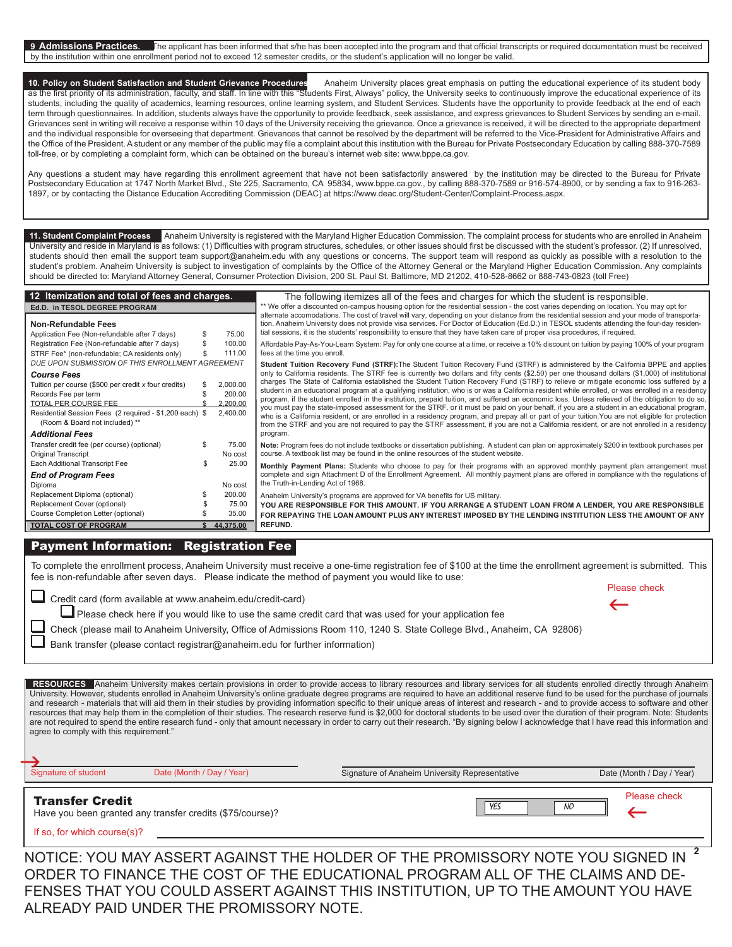9 Admissions Practices. The applicant has been informed that s/he has been accepted into the program and that official transcripts or required documentation must be received by the institution within one enrollment period not to exceed 12 semester credits, or the student's application will no longer be valid.

10. Policy on Student Satisfaction and Student Grievance Procedures Anaheim University places great emphasis on putting the educational experience of its student body as the first priority of its administration, faculty, and staff. In line with this "Students First, Always" policy, the University seeks to continuously improve the educational experience of its students, including the quality of academics, learning resources, online learning system, and Student Services. Students have the opportunity to provide feedback at the end of each term through questionnaires. In addition, students always have the opportunity to provide feedback, seek assistance, and express grievances to Student Services by sending an e-mail. Grievances sent in writing will receive a response within 10 days of the University receiving the grievance. Once a grievance is received, it will be directed to the appropriate department and the individual responsible for overseeing that department. Grievances that cannot be resolved by the department will be referred to the Vice-President for Administrative Affairs and the Office of the President. A student or any member of the public may file a complaint about this institution with the Bureau for Private Postsecondary Education by calling 888-370-7589 toll-free, or by completing a complaint form, which can be obtained on the bureau's internet web site: www.bppe.ca.gov.

Any questions a student may have regarding this enrollment agreement that have not been satisfactorily answered by the institution may be directed to the Bureau for Private Postsecondary Education at 1747 North Market Blvd., Ste 225, Sacramento, CA 95834, www.bppe.ca.gov., by calling 888-370-7589 or 916-574-8900, or by sending a fax to 916-263- 1897, or by contacting the Distance Education Accrediting Commission (DEAC) at https://www.deac.org/Student-Center/Complaint-Process.aspx.

**11. Student Complaint Process** Anaheim University is registered with the Maryland Higher Education Commission. The complaint process for students who are enrolled in Anaheim University and reside in Maryland is as follows: (1) Difficulties with program structures, schedules, or other issues should first be discussed with the student's professor. (2) If unresolved, students should then email the support team support@anaheim.edu with any questions or concerns. The support team will respond as quickly as possible with a resolution to the student's problem. Anaheim University is subject to investigation of complaints by the Office of the Attorney General or the Maryland Higher Education Commission. Any complaints should be directed to: Maryland Attorney General, Consumer Protection Division, 200 St. Paul St. Baltimore, MD 21202, 410-528-8662 or 888-743-0823 (toll Free)

| 12 Itemization and total of fees and charges.                                                                                                                                                                                                                               |                                            | The following itemizes all of the fees and charges for which the student is responsible.                                                                                                                                                                                                                                                                                                                                                                                                                                                                                                                                                                                                                                                                                                                                                                                                                                                                                                                                                                                                                                                                                                    |
|-----------------------------------------------------------------------------------------------------------------------------------------------------------------------------------------------------------------------------------------------------------------------------|--------------------------------------------|---------------------------------------------------------------------------------------------------------------------------------------------------------------------------------------------------------------------------------------------------------------------------------------------------------------------------------------------------------------------------------------------------------------------------------------------------------------------------------------------------------------------------------------------------------------------------------------------------------------------------------------------------------------------------------------------------------------------------------------------------------------------------------------------------------------------------------------------------------------------------------------------------------------------------------------------------------------------------------------------------------------------------------------------------------------------------------------------------------------------------------------------------------------------------------------------|
| Ed.D. in TESOL DEGREE PROGRAM<br><b>Non-Refundable Fees</b><br>Application Fee (Non-refundable after 7 days)                                                                                                                                                                | 75.00                                      | ** We offer a discounted on-campus housing option for the residential session - the cost varies depending on location. You may opt for<br>alternate accomodations. The cost of travel will vary, depending on your distance from the residential session and your mode of transporta-<br>tion. Anaheim University does not provide visa services. For Doctor of Education (Ed.D.) in TESOL students attending the four-day residen-<br>tial sessions, it is the students' responsibility to ensure that they have taken care of proper visa procedures, if required.                                                                                                                                                                                                                                                                                                                                                                                                                                                                                                                                                                                                                        |
| Registration Fee (Non-refundable after 7 days)<br>STRF Fee* (non-refundable; CA residents only)                                                                                                                                                                             | 100.00<br>111.00                           | Affordable Pay-As-You-Learn System: Pay for only one course at a time, or receive a 10% discount on tuition by paying 100% of your program<br>fees at the time you enroll.                                                                                                                                                                                                                                                                                                                                                                                                                                                                                                                                                                                                                                                                                                                                                                                                                                                                                                                                                                                                                  |
| DUE UPON SUBMISSION OF THIS ENROLLMENT AGREEMENT<br><b>Course Fees</b><br>Tuition per course (\$500 per credit x four credits)<br>Records Fee per term<br>TOTAL PER COURSE FEE<br>Residential Session Fees (2 required - \$1,200 each) \$<br>(Room & Board not included) ** | 2.000.00<br>200.00<br>2,200.00<br>2,400.00 | Student Tuition Recovery Fund (STRF): The Student Tuition Recovery Fund (STRF) is administered by the California BPPE and applies<br>only to California residents. The STRF fee is currently two dollars and fifty cents (\$2.50) per one thousand dollars (\$1,000) of institutional<br>charges The State of California established the Student Tuition Recovery Fund (STRF) to relieve or mitigate economic loss suffered by a<br>student in an educational program at a qualifying institution, who is or was a California resident while enrolled, or was enrolled in a residency<br>program, if the student enrolled in the institution, prepaid tuition, and suffered an economic loss. Unless relieved of the obligation to do so,<br>you must pay the state-imposed assessment for the STRF, or it must be paid on your behalf, if you are a student in an educational program,<br>who is a California resident, or are enrolled in a residency program, and prepay all or part of your tuition. You are not eligible for protection<br>from the STRF and you are not required to pay the STRF assessment, if you are not a California resident, or are not enrolled in a residency |
| <b>Additional Fees</b><br>Transfer credit fee (per course) (optional)<br>Original Transcript                                                                                                                                                                                | 75.00<br>No cost                           | program.<br>Note: Program fees do not include textbooks or dissertation publishing. A student can plan on approximately \$200 in textbook purchases per<br>course. A textbook list may be found in the online resources of the student website.                                                                                                                                                                                                                                                                                                                                                                                                                                                                                                                                                                                                                                                                                                                                                                                                                                                                                                                                             |
| Each Additional Transcript Fee<br><b>End of Program Fees</b>                                                                                                                                                                                                                | 25.00                                      | Monthly Payment Plans: Students who choose to pay for their programs with an approved monthly payment plan arrangement must<br>complete and sign Attachment D of the Enrollment Agreement. All monthly payment plans are offered in compliance with the regulations of<br>the Truth-in-Lending Act of 1968.                                                                                                                                                                                                                                                                                                                                                                                                                                                                                                                                                                                                                                                                                                                                                                                                                                                                                 |
| Diploma<br>Replacement Diploma (optional)<br>Replacement Cover (optional)<br>Course Completion Letter (optional)                                                                                                                                                            | No cost<br>200.00<br>75.00<br>35.00        | Anaheim University's programs are approved for VA benefits for US military.<br>YOU ARE RESPONSIBLE FOR THIS AMOUNT. IF YOU ARRANGE A STUDENT LOAN FROM A LENDER, YOU ARE RESPONSIBLE<br>FOR REPAYING THE LOAN AMOUNT PLUS ANY INTEREST IMPOSED BY THE LENDING INSTITUTION LESS THE AMOUNT OF ANY                                                                                                                                                                                                                                                                                                                                                                                                                                                                                                                                                                                                                                                                                                                                                                                                                                                                                            |
| <b>TOTAL COST OF PROGRAM</b>                                                                                                                                                                                                                                                | 44.375.00                                  | REFUND.                                                                                                                                                                                                                                                                                                                                                                                                                                                                                                                                                                                                                                                                                                                                                                                                                                                                                                                                                                                                                                                                                                                                                                                     |

# Payment Information: Registration Fee

To complete the enrollment process, Anaheim University must receive a one-time registration fee of \$100 at the time the enrollment agreement is submitted. This fee is non-refundable after seven days. Please indicate the method of payment you would like to use:

Credit card (form available at www.anaheim.edu/credit-card)

| Please check |
|--------------|
| ←            |
|              |

Please check here if you would like to use the same credit card that was used for your application fee Check (please mail to Anaheim University, Office of Admissions Room 110, 1240 S. State College Blvd., Anaheim, CA 92806)

| Check (please mail to Anaheim University, Office of Admissions Room 110, 1240 S. State College Blvd., Anaheim, CA 92806) |  |  |  |  |  |  |
|--------------------------------------------------------------------------------------------------------------------------|--|--|--|--|--|--|
|--------------------------------------------------------------------------------------------------------------------------|--|--|--|--|--|--|

Bank transfer (please contact registrar@anaheim.edu for further information)

RESOURCES Anaheim University makes certain provisions in order to provide access to library resources and library services for all students enrolled directly through Anaheim University. However, students enrolled in Anaheim University's online graduate degree programs are required to have an additional reserve fund to be used for the purchase of journals and research - materials that will aid them in their studies by providing information specific to their unique areas of interest and research - and to provide access to software and other resources that may help them in the completion of their studies. The research reserve fund is \$2,000 for doctoral students to be used over the duration of their program. Note: Students are not required to spend the entire research fund - only that amount necessary in order to carry out their research. "By signing below I acknowledge that I have read this information and agree to comply with this requirement."

| Signature of student<br>Date (Month / Day / Year)                                   | Signature of Anaheim University Representative | Date (Month / Day / Year) |
|-------------------------------------------------------------------------------------|------------------------------------------------|---------------------------|
| <b>Transfer Credit</b><br>Have you been granted any transfer credits (\$75/course)? | YES<br>NO.                                     | Please check              |

If so, for which course(s)?

**2** NOTICE: YOU MAY ASSERT AGAINST THE HOLDER OF THE PROMISSORY NOTE YOU SIGNED IN ORDER TO FINANCE THE COST OF THE EDUCATIONAL PROGRAM ALL OF THE CLAIMS AND DE-FENSES THAT YOU COULD ASSERT AGAINST THIS INSTITUTION, UP TO THE AMOUNT YOU HAVE ALREADY PAID UNDER THE PROMISSORY NOTE.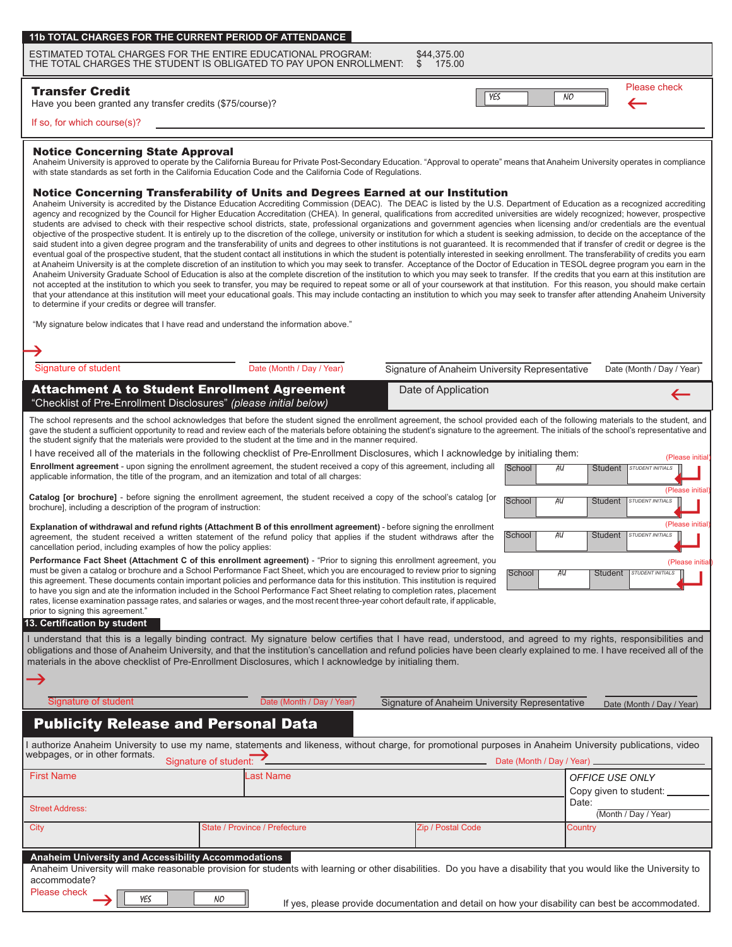| 11b TOTAL CHARGES FOR THE CURRENT PERIOD OF ATTENDANCE 1 |
|----------------------------------------------------------|
|----------------------------------------------------------|

ESTIMATED TOTAL CHARGES FOR THE ENTIRE EDUCATIONAL PROGRAM: \$44,375.00<br>THE TOTAL CHARGES THE STUDENT IS OBLIGATED TO PAY UPON ENROLLMENT: \$15.00 THE TOTAL CHARGES THE STUDENT IS OBLIGATED TO PAY UPON ENROLLMENT.

## Transfer Credit

Have you been granted any transfer credits (\$75/course)?

Please check YES NO NO

#### If so, for which course(s)?

#### Notice Concerning State Approval

Anaheim University is approved to operate by the California Bureau for Private Post-Secondary Education. "Approval to operate" means that Anaheim University operates in compliance with state standards as set forth in the California Education Code and the California Code of Regulations.

# Notice Concerning Transferability of Units and Degrees Earned at our Institution

Anaheim University is accredited by the Distance Education Accrediting Commission (DEAC). The DEAC is listed by the U.S. Department of Education as a recognized accrediting agency and recognized by the Council for Higher Education Accreditation (CHEA). In general, qualifications from accredited universities are widely recognized; however, prospective students are advised to check with their respective school districts, state, professional organizations and government agencies when licensing and/or credentials are the eventual objective of the prospective student. It is entirely up to the discretion of the college, university or institution for which a student is seeking admission, to decide on the acceptance of the said student into a given degree program and the transferability of units and degrees to other institutions is not guaranteed. It is recommended that if transfer of credit or degree is the eventual goal of the prospective student, that the student contact all institutions in which the student is potentially interested in seeking enrollment. The transferability of credits you earn at Anaheim University is at the complete discretion of an institution to which you may seek to transfer. Acceptance of the Doctor of Education in TESOL degree program you earn in the Anaheim University Graduate School of Education is also at the complete discretion of the institution to which you may seek to transfer. If the credits that you earn at this institution are not accepted at the institution to which you seek to transfer, you may be required to repeat some or all of your coursework at that institution. For this reason, you should make certain that your attendance at this institution will meet your educational goals. This may include contacting an institution to which you may seek to transfer after attending Anaheim University to determine if your credits or degree will transfer.

"My signature below indicates that I have read and understand the information above."

| Signature of student                                                                                                                                                                                                                                                                                                                                                                                                                                                                                                                                                                                                                                                                                      | Date (Month / Day / Year)     | Signature of Anaheim University Representative | Date (Month / Day / Year)                                          |  |
|-----------------------------------------------------------------------------------------------------------------------------------------------------------------------------------------------------------------------------------------------------------------------------------------------------------------------------------------------------------------------------------------------------------------------------------------------------------------------------------------------------------------------------------------------------------------------------------------------------------------------------------------------------------------------------------------------------------|-------------------------------|------------------------------------------------|--------------------------------------------------------------------|--|
| <b>Attachment A to Student Enrollment Agreement</b><br>"Checklist of Pre-Enrollment Disclosures" (please initial below)                                                                                                                                                                                                                                                                                                                                                                                                                                                                                                                                                                                   |                               | Date of Application                            | $\leftarrow$                                                       |  |
| The school represents and the school acknowledges that before the student signed the enrollment agreement, the school provided each of the following materials to the student, and<br>gave the student a sufficient opportunity to read and review each of the materials before obtaining the student's signature to the agreement. The initials of the school's representative and<br>the student signify that the materials were provided to the student at the time and in the manner required.<br>I have received all of the materials in the following checklist of Pre-Enrollment Disclosures, which I acknowledge by initialing them:                                                              |                               |                                                | (Please initial)                                                   |  |
| Enrollment agreement - upon signing the enrollment agreement, the student received a copy of this agreement, including all<br>applicable information, the title of the program, and an itemization and total of all charges:                                                                                                                                                                                                                                                                                                                                                                                                                                                                              |                               | School                                         | AU<br>Student<br>STUDENT INITIALS<br>(Please initial               |  |
| Catalog [or brochure] - before signing the enrollment agreement, the student received a copy of the school's catalog [or<br>brochure], including a description of the program of instruction:                                                                                                                                                                                                                                                                                                                                                                                                                                                                                                             |                               | School                                         | AU<br><b>Student</b><br><b>STUDENT INITIALS</b>                    |  |
| <b>Explanation of withdrawal and refund rights (Attachment B of this enrollment agreement)</b> - before signing the enrollment<br>agreement, the student received a written statement of the refund policy that applies if the student withdraws after the<br>cancellation period, including examples of how the policy applies:                                                                                                                                                                                                                                                                                                                                                                          |                               | School                                         | (Please initial<br>AU<br><b>STUDENT INITIALS</b><br><b>Student</b> |  |
| Performance Fact Sheet (Attachment C of this enrollment agreement) - "Prior to signing this enrollment agreement, you<br>must be given a catalog or brochure and a School Performance Fact Sheet, which you are encouraged to review prior to signing<br>this agreement. These documents contain important policies and performance data for this institution. This institution is required<br>to have you sign and ate the information included in the School Performance Fact Sheet relating to completion rates, placement<br>rates, license examination passage rates, and salaries or wages, and the most recent three-year cohort default rate, if applicable,<br>prior to signing this agreement." |                               | School                                         | (Please initia<br>AU<br>Student STUDENT INITIALS                   |  |
| 13. Certification by student<br>I understand that this is a legally binding contract. My signature below certifies that I have read, understood, and agreed to my rights, responsibilities and<br>obligations and those of Anaheim University, and that the institution's cancellation and refund policies have been clearly explained to me. I have received all of the                                                                                                                                                                                                                                                                                                                                  |                               |                                                |                                                                    |  |
| materials in the above checklist of Pre-Enrollment Disclosures, which I acknowledge by initialing them.                                                                                                                                                                                                                                                                                                                                                                                                                                                                                                                                                                                                   |                               |                                                |                                                                    |  |
| Signature of student                                                                                                                                                                                                                                                                                                                                                                                                                                                                                                                                                                                                                                                                                      | Date (Month / Day / Year)     | Signature of Anaheim University Representative | Date (Month / Day / Year)                                          |  |
| <b>Publicity Release and Personal Data</b>                                                                                                                                                                                                                                                                                                                                                                                                                                                                                                                                                                                                                                                                |                               |                                                |                                                                    |  |
| authorize Anaheim University to use my name, statements and likeness, without charge, for promotional purposes in Anaheim University publications, video<br>webpages, or in other formats.<br>Signature of student:                                                                                                                                                                                                                                                                                                                                                                                                                                                                                       |                               | Date (Month / Day / Year) _                    |                                                                    |  |
| <b>First Name</b>                                                                                                                                                                                                                                                                                                                                                                                                                                                                                                                                                                                                                                                                                         | ast Name                      |                                                | OFFICE USE ONLY<br>Copy given to student:                          |  |
| <b>Street Address:</b>                                                                                                                                                                                                                                                                                                                                                                                                                                                                                                                                                                                                                                                                                    |                               |                                                | Date:<br>(Month / Day / Year)                                      |  |
| City                                                                                                                                                                                                                                                                                                                                                                                                                                                                                                                                                                                                                                                                                                      | State / Province / Prefecture | Zip / Postal Code                              | Country                                                            |  |
| Anaheim University and Accessibility Accommodations<br>Anaheim University will make reasonable provision for students with learning or other disabilities. Do you have a disability that you would like the University to<br>accommodate?<br>Please check<br>YES<br>NO.<br>المستحدث والمتحامل المستحار المتحارب المستحدث والمستحدث والمستحدث والمستحاث<br>ومعموم والمستحدث والتقام والمتحامل والمقالة والمتحالة                                                                                                                                                                                                                                                                                           |                               |                                                |                                                                    |  |